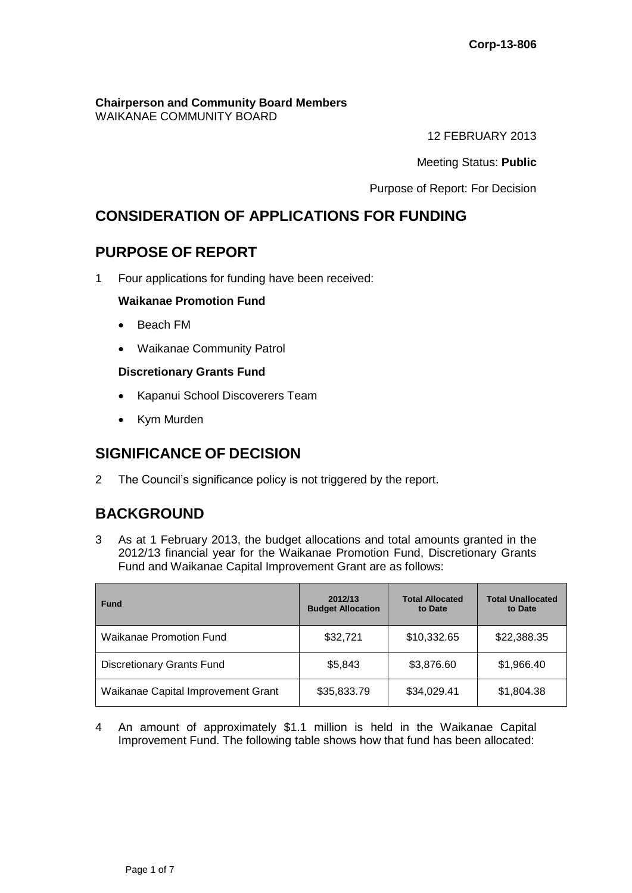# **Chairperson and Community Board Members**

WAIKANAE COMMUNITY BOARD

12 FEBRUARY 2013

Meeting Status: **Public**

Purpose of Report: For Decision

# **CONSIDERATION OF APPLICATIONS FOR FUNDING**

# **PURPOSE OF REPORT**

1 Four applications for funding have been received:

## **Waikanae Promotion Fund**

- Beach FM
- Waikanae Community Patrol

## **Discretionary Grants Fund**

- Kapanui School Discoverers Team
- Kym Murden

# **SIGNIFICANCE OF DECISION**

2 The Council's significance policy is not triggered by the report.

# **BACKGROUND**

3 As at 1 February 2013, the budget allocations and total amounts granted in the 2012/13 financial year for the Waikanae Promotion Fund, Discretionary Grants Fund and Waikanae Capital Improvement Grant are as follows:

| <b>Fund</b>                        | 2012/13<br><b>Budget Allocation</b> | <b>Total Allocated</b><br>to Date | <b>Total Unallocated</b><br>to Date |
|------------------------------------|-------------------------------------|-----------------------------------|-------------------------------------|
| <b>Waikanae Promotion Fund</b>     | \$32,721                            | \$10,332.65                       | \$22,388.35                         |
| <b>Discretionary Grants Fund</b>   | \$5,843                             | \$3,876.60                        | \$1,966.40                          |
| Waikanae Capital Improvement Grant | \$35,833.79                         | \$34,029.41                       | \$1,804.38                          |

4 An amount of approximately \$1.1 million is held in the Waikanae Capital Improvement Fund. The following table shows how that fund has been allocated: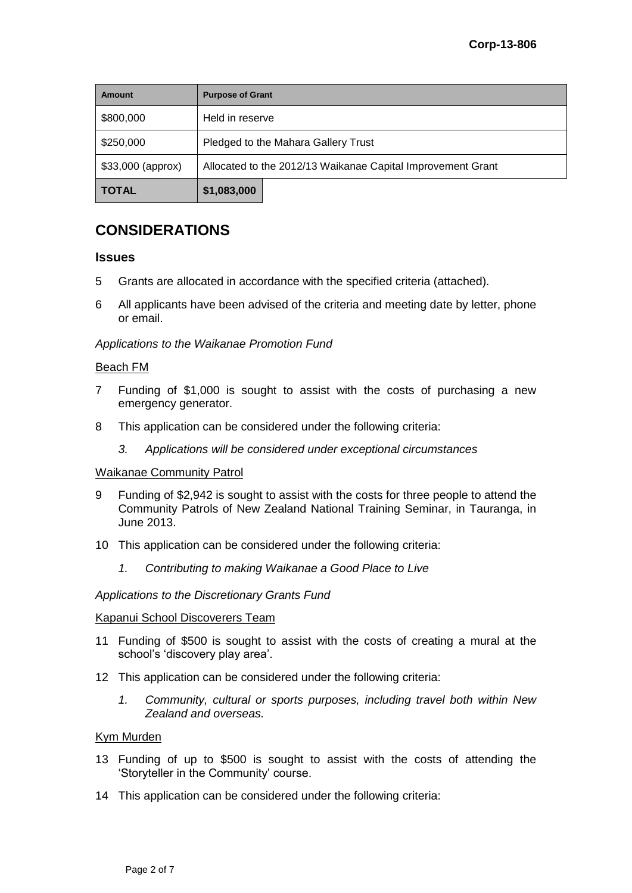| <b>Amount</b>      | <b>Purpose of Grant</b>                                     |  |  |
|--------------------|-------------------------------------------------------------|--|--|
| \$800,000          | Held in reserve                                             |  |  |
| \$250,000          | Pledged to the Mahara Gallery Trust                         |  |  |
| $$33,000$ (approx) | Allocated to the 2012/13 Waikanae Capital Improvement Grant |  |  |
| <b>TOTAL</b>       | \$1,083,000                                                 |  |  |

# **CONSIDERATIONS**

#### **Issues**

- 5 Grants are allocated in accordance with the specified criteria (attached).
- 6 All applicants have been advised of the criteria and meeting date by letter, phone or email.

### *Applications to the Waikanae Promotion Fund*

#### Beach FM

- 7 Funding of \$1,000 is sought to assist with the costs of purchasing a new emergency generator.
- 8 This application can be considered under the following criteria:
	- *3. Applications will be considered under exceptional circumstances*

#### Waikanae Community Patrol

- 9 Funding of \$2,942 is sought to assist with the costs for three people to attend the Community Patrols of New Zealand National Training Seminar, in Tauranga, in June 2013.
- 10 This application can be considered under the following criteria:
	- *1. Contributing to making Waikanae a Good Place to Live*

#### *Applications to the Discretionary Grants Fund*

#### Kapanui School Discoverers Team

- 11 Funding of \$500 is sought to assist with the costs of creating a mural at the school's 'discovery play area'.
- 12 This application can be considered under the following criteria:
	- *1. Community, cultural or sports purposes, including travel both within New Zealand and overseas.*

#### Kym Murden

- 13 Funding of up to \$500 is sought to assist with the costs of attending the 'Storyteller in the Community' course.
- 14 This application can be considered under the following criteria: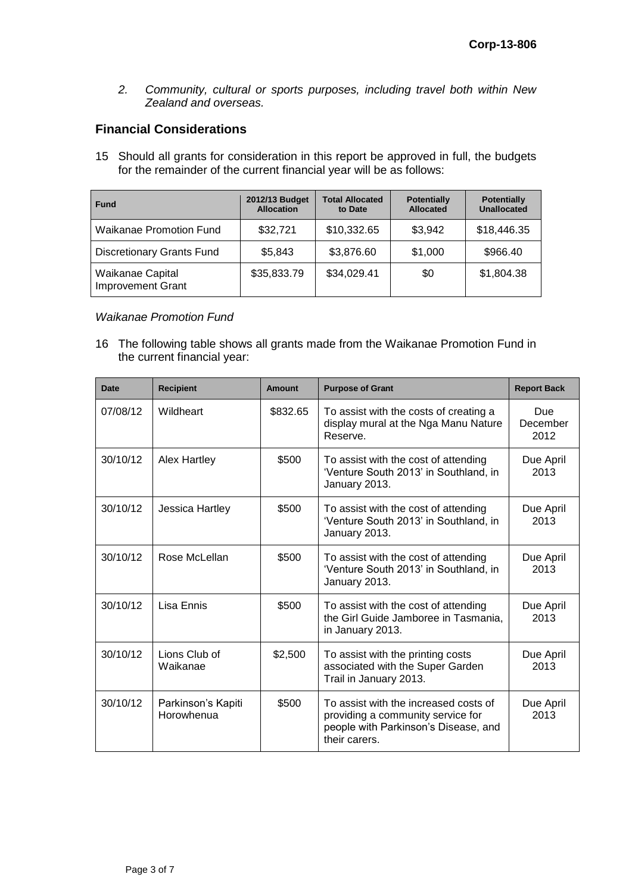*2. Community, cultural or sports purposes, including travel both within New Zealand and overseas.* 

## **Financial Considerations**

15 Should all grants for consideration in this report be approved in full, the budgets for the remainder of the current financial year will be as follows:

| <b>Fund</b>                                  | 2012/13 Budget<br><b>Allocation</b> | <b>Total Allocated</b><br>to Date | <b>Potentially</b><br><b>Allocated</b> | <b>Potentially</b><br><b>Unallocated</b> |
|----------------------------------------------|-------------------------------------|-----------------------------------|----------------------------------------|------------------------------------------|
| <b>Waikanae Promotion Fund</b>               | \$32,721                            | \$10,332.65                       | \$3,942                                | \$18,446.35                              |
| <b>Discretionary Grants Fund</b>             | \$5,843                             | \$3,876.60                        | \$1,000                                | \$966.40                                 |
| Waikanae Capital<br><b>Improvement Grant</b> | \$35,833.79                         | \$34,029.41                       | \$0                                    | \$1,804.38                               |

#### *Waikanae Promotion Fund*

16 The following table shows all grants made from the Waikanae Promotion Fund in the current financial year:

| Date     | <b>Recipient</b>                 | <b>Amount</b> | <b>Purpose of Grant</b>                                                                                                             | <b>Report Back</b>       |
|----------|----------------------------------|---------------|-------------------------------------------------------------------------------------------------------------------------------------|--------------------------|
| 07/08/12 | Wildheart                        | \$832.65      | To assist with the costs of creating a<br>display mural at the Nga Manu Nature<br>Reserve.                                          | Due.<br>December<br>2012 |
| 30/10/12 | Alex Hartley                     | \$500         | To assist with the cost of attending<br>'Venture South 2013' in Southland, in<br>January 2013.                                      | Due April<br>2013        |
| 30/10/12 | Jessica Hartley                  | \$500         | To assist with the cost of attending<br>'Venture South 2013' in Southland, in<br>January 2013.                                      | Due April<br>2013        |
| 30/10/12 | Rose McLellan                    | \$500         | To assist with the cost of attending<br>'Venture South 2013' in Southland, in<br>January 2013.                                      | Due April<br>2013        |
| 30/10/12 | Lisa Ennis                       | \$500         | To assist with the cost of attending<br>the Girl Guide Jamboree in Tasmania,<br>in January 2013.                                    | Due April<br>2013        |
| 30/10/12 | Lions Club of<br>Waikanae        | \$2,500       | To assist with the printing costs<br>associated with the Super Garden<br>Trail in January 2013.                                     | Due April<br>2013        |
| 30/10/12 | Parkinson's Kapiti<br>Horowhenua | \$500         | To assist with the increased costs of<br>providing a community service for<br>people with Parkinson's Disease, and<br>their carers. | Due April<br>2013        |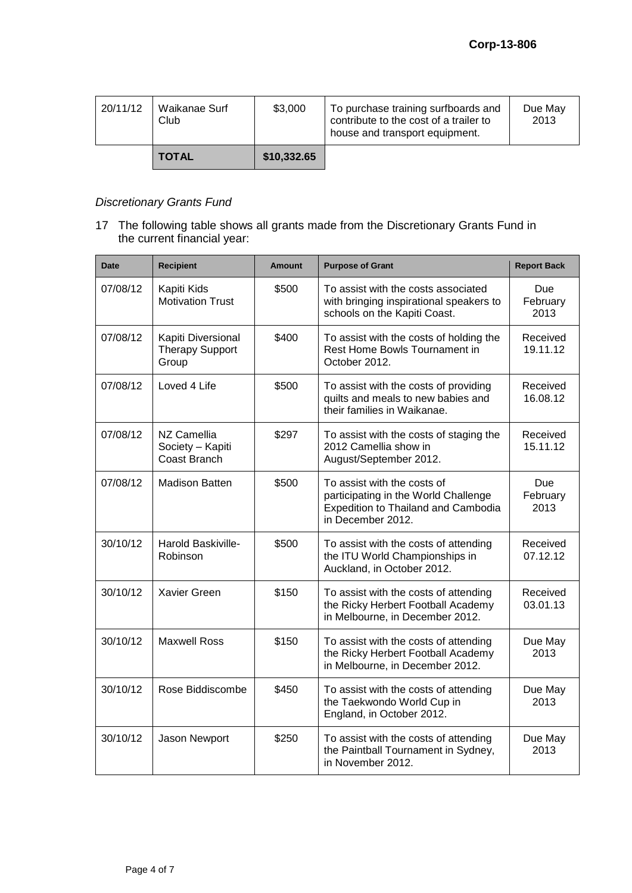| 20/11/12 | Waikanae Surf<br>Club | \$3,000     | To purchase training surfboards and<br>contribute to the cost of a trailer to<br>house and transport equipment. | Due May<br>2013 |
|----------|-----------------------|-------------|-----------------------------------------------------------------------------------------------------------------|-----------------|
|          | <b>TOTAL</b>          | \$10,332.65 |                                                                                                                 |                 |

## *Discretionary Grants Fund*

17 The following table shows all grants made from the Discretionary Grants Fund in the current financial year:

| <b>Date</b> | <b>Recipient</b>                                      | <b>Amount</b> | <b>Purpose of Grant</b>                                                                                                         | <b>Report Back</b>      |
|-------------|-------------------------------------------------------|---------------|---------------------------------------------------------------------------------------------------------------------------------|-------------------------|
| 07/08/12    | Kapiti Kids<br><b>Motivation Trust</b>                | \$500         | To assist with the costs associated<br>with bringing inspirational speakers to<br>schools on the Kapiti Coast.                  | Due<br>February<br>2013 |
| 07/08/12    | Kapiti Diversional<br><b>Therapy Support</b><br>Group | \$400         | To assist with the costs of holding the<br>Rest Home Bowls Tournament in<br>October 2012.                                       | Received<br>19.11.12    |
| 07/08/12    | Loved 4 Life                                          | \$500         | To assist with the costs of providing<br>quilts and meals to new babies and<br>their families in Waikanae.                      | Received<br>16.08.12    |
| 07/08/12    | NZ Camellia<br>Society - Kapiti<br>Coast Branch       | \$297         | To assist with the costs of staging the<br>2012 Camellia show in<br>August/September 2012.                                      | Received<br>15.11.12    |
| 07/08/12    | <b>Madison Batten</b>                                 | \$500         | To assist with the costs of<br>participating in the World Challenge<br>Expedition to Thailand and Cambodia<br>in December 2012. | Due<br>February<br>2013 |
| 30/10/12    | Harold Baskiville-<br>Robinson                        | \$500         | To assist with the costs of attending<br>the ITU World Championships in<br>Auckland, in October 2012.                           | Received<br>07.12.12    |
| 30/10/12    | Xavier Green                                          | \$150         | To assist with the costs of attending<br>the Ricky Herbert Football Academy<br>in Melbourne, in December 2012.                  | Received<br>03.01.13    |
| 30/10/12    | <b>Maxwell Ross</b>                                   | \$150         | To assist with the costs of attending<br>the Ricky Herbert Football Academy<br>in Melbourne, in December 2012.                  | Due May<br>2013         |
| 30/10/12    | Rose Biddiscombe                                      | \$450         | To assist with the costs of attending<br>the Taekwondo World Cup in<br>England, in October 2012.                                | Due May<br>2013         |
| 30/10/12    | Jason Newport                                         | \$250         | To assist with the costs of attending<br>the Paintball Tournament in Sydney,<br>in November 2012.                               | Due May<br>2013         |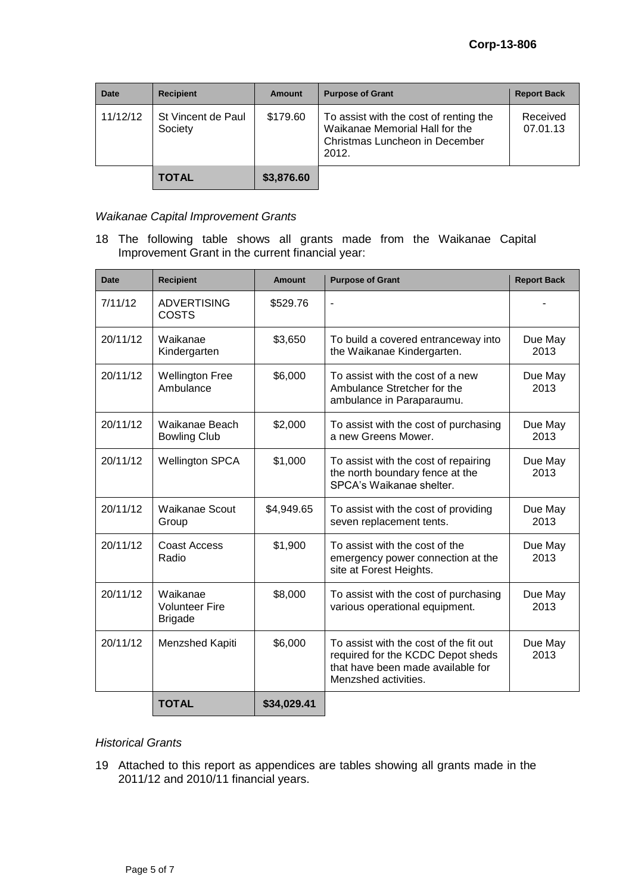| <b>Date</b> | <b>Recipient</b>              | <b>Amount</b> | <b>Purpose of Grant</b>                                                                                             | <b>Report Back</b>   |
|-------------|-------------------------------|---------------|---------------------------------------------------------------------------------------------------------------------|----------------------|
| 11/12/12    | St Vincent de Paul<br>Society | \$179.60      | To assist with the cost of renting the<br>Waikanae Memorial Hall for the<br>Christmas Luncheon in December<br>2012. | Received<br>07.01.13 |
|             | <b>TOTAL</b>                  | \$3,876.60    |                                                                                                                     |                      |

## *Waikanae Capital Improvement Grants*

18 The following table shows all grants made from the Waikanae Capital Improvement Grant in the current financial year:

| <b>Date</b> | <b>Recipient</b>                                    | <b>Amount</b> | <b>Purpose of Grant</b>                                                                                                                  | <b>Report Back</b> |
|-------------|-----------------------------------------------------|---------------|------------------------------------------------------------------------------------------------------------------------------------------|--------------------|
| 7/11/12     | <b>ADVERTISING</b><br><b>COSTS</b>                  | \$529.76      | $\blacksquare$                                                                                                                           |                    |
| 20/11/12    | Waikanae<br>Kindergarten                            | \$3,650       | To build a covered entranceway into<br>the Waikanae Kindergarten.                                                                        | Due May<br>2013    |
| 20/11/12    | <b>Wellington Free</b><br>Ambulance                 | \$6,000       | To assist with the cost of a new<br>Ambulance Stretcher for the<br>ambulance in Paraparaumu.                                             | Due May<br>2013    |
| 20/11/12    | Waikanae Beach<br><b>Bowling Club</b>               | \$2,000       | To assist with the cost of purchasing<br>a new Greens Mower.                                                                             | Due May<br>2013    |
| 20/11/12    | <b>Wellington SPCA</b>                              | \$1,000       | To assist with the cost of repairing<br>the north boundary fence at the<br>SPCA's Waikanae shelter.                                      | Due May<br>2013    |
| 20/11/12    | Waikanae Scout<br>Group                             | \$4,949.65    | To assist with the cost of providing<br>seven replacement tents.                                                                         | Due May<br>2013    |
| 20/11/12    | <b>Coast Access</b><br>Radio                        | \$1,900       | To assist with the cost of the<br>emergency power connection at the<br>site at Forest Heights.                                           | Due May<br>2013    |
| 20/11/12    | Waikanae<br><b>Volunteer Fire</b><br><b>Brigade</b> | \$8,000       | To assist with the cost of purchasing<br>various operational equipment.                                                                  | Due May<br>2013    |
| 20/11/12    | Menzshed Kapiti                                     | \$6,000       | To assist with the cost of the fit out<br>required for the KCDC Depot sheds<br>that have been made available for<br>Menzshed activities. | Due May<br>2013    |
|             | <b>TOTAL</b>                                        | \$34,029.41   |                                                                                                                                          |                    |

#### *Historical Grants*

19 Attached to this report as appendices are tables showing all grants made in the 2011/12 and 2010/11 financial years.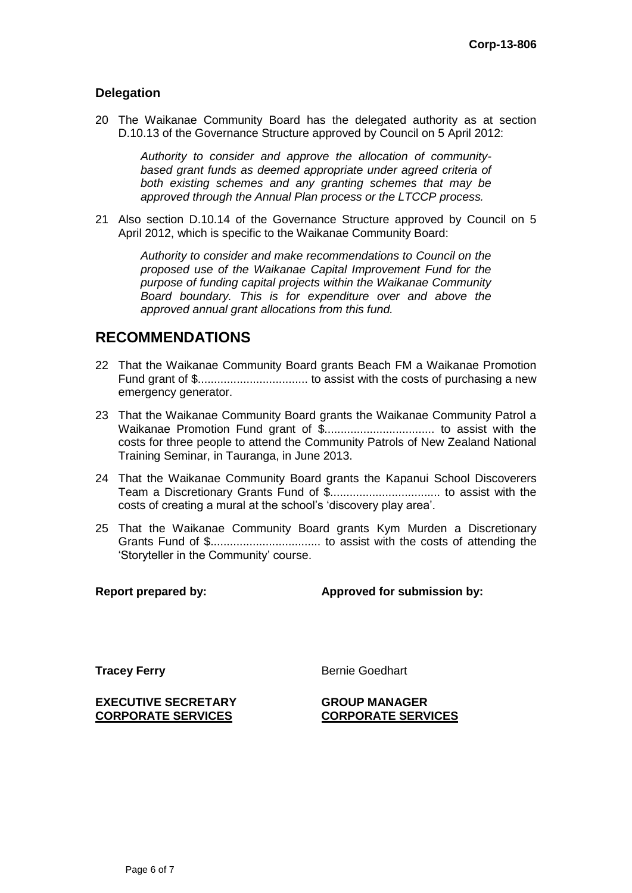## **Delegation**

20 The Waikanae Community Board has the delegated authority as at section D.10.13 of the Governance Structure approved by Council on 5 April 2012:

> *Authority to consider and approve the allocation of communitybased grant funds as deemed appropriate under agreed criteria of both existing schemes and any granting schemes that may be approved through the Annual Plan process or the LTCCP process.*

21 Also section D.10.14 of the Governance Structure approved by Council on 5 April 2012, which is specific to the Waikanae Community Board:

> *Authority to consider and make recommendations to Council on the proposed use of the Waikanae Capital Improvement Fund for the purpose of funding capital projects within the Waikanae Community Board boundary. This is for expenditure over and above the approved annual grant allocations from this fund.*

# **RECOMMENDATIONS**

- 22 That the Waikanae Community Board grants Beach FM a Waikanae Promotion Fund grant of \$.................................. to assist with the costs of purchasing a new emergency generator.
- 23 That the Waikanae Community Board grants the Waikanae Community Patrol a Waikanae Promotion Fund grant of \$.................................. to assist with the costs for three people to attend the Community Patrols of New Zealand National Training Seminar, in Tauranga, in June 2013.
- 24 That the Waikanae Community Board grants the Kapanui School Discoverers Team a Discretionary Grants Fund of \$.................................. to assist with the costs of creating a mural at the school's 'discovery play area'.
- 25 That the Waikanae Community Board grants Kym Murden a Discretionary Grants Fund of \$.................................. to assist with the costs of attending the 'Storyteller in the Community' course.

### **Report prepared by: Approved for submission by:**

**Tracey Ferry** Bernie Goedhart

**EXECUTIVE SECRETARY CORPORATE SERVICES**

**GROUP MANAGER CORPORATE SERVICES**